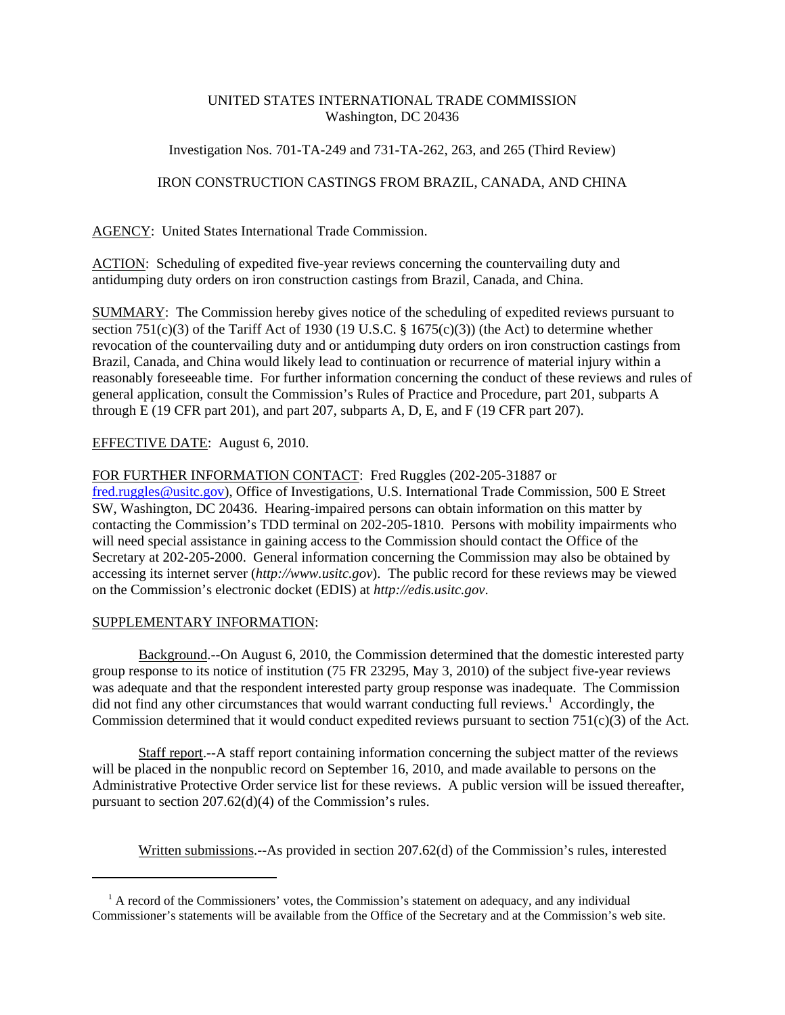# UNITED STATES INTERNATIONAL TRADE COMMISSION Washington, DC 20436

# Investigation Nos. 701-TA-249 and 731-TA-262, 263, and 265 (Third Review)

# IRON CONSTRUCTION CASTINGS FROM BRAZIL, CANADA, AND CHINA

AGENCY: United States International Trade Commission.

ACTION: Scheduling of expedited five-year reviews concerning the countervailing duty and antidumping duty orders on iron construction castings from Brazil, Canada, and China.

SUMMARY: The Commission hereby gives notice of the scheduling of expedited reviews pursuant to section 751(c)(3) of the Tariff Act of 1930 (19 U.S.C. § 1675(c)(3)) (the Act) to determine whether revocation of the countervailing duty and or antidumping duty orders on iron construction castings from Brazil, Canada, and China would likely lead to continuation or recurrence of material injury within a reasonably foreseeable time. For further information concerning the conduct of these reviews and rules of general application, consult the Commission's Rules of Practice and Procedure, part 201, subparts A through E (19 CFR part 201), and part 207, subparts A, D, E, and F (19 CFR part 207).

### EFFECTIVE DATE: August 6, 2010.

### FOR FURTHER INFORMATION CONTACT: Fred Ruggles (202-205-31887 or

fred.ruggles@usitc.gov), Office of Investigations, U.S. International Trade Commission, 500 E Street SW, Washington, DC 20436. Hearing-impaired persons can obtain information on this matter by contacting the Commission's TDD terminal on 202-205-1810. Persons with mobility impairments who will need special assistance in gaining access to the Commission should contact the Office of the Secretary at 202-205-2000. General information concerning the Commission may also be obtained by accessing its internet server (*http://www.usitc.gov*). The public record for these reviews may be viewed on the Commission's electronic docket (EDIS) at *http://edis.usitc.gov*.

### SUPPLEMENTARY INFORMATION:

Background.--On August 6, 2010, the Commission determined that the domestic interested party group response to its notice of institution (75 FR 23295, May 3, 2010) of the subject five-year reviews was adequate and that the respondent interested party group response was inadequate. The Commission did not find any other circumstances that would warrant conducting full reviews.<sup>1</sup> Accordingly, the Commission determined that it would conduct expedited reviews pursuant to section 751(c)(3) of the Act.

Staff report.--A staff report containing information concerning the subject matter of the reviews will be placed in the nonpublic record on September 16, 2010, and made available to persons on the Administrative Protective Order service list for these reviews. A public version will be issued thereafter, pursuant to section 207.62(d)(4) of the Commission's rules.

Written submissions.--As provided in section 207.62(d) of the Commission's rules, interested

<sup>&</sup>lt;sup>1</sup> A record of the Commissioners' votes, the Commission's statement on adequacy, and any individual Commissioner's statements will be available from the Office of the Secretary and at the Commission's web site.